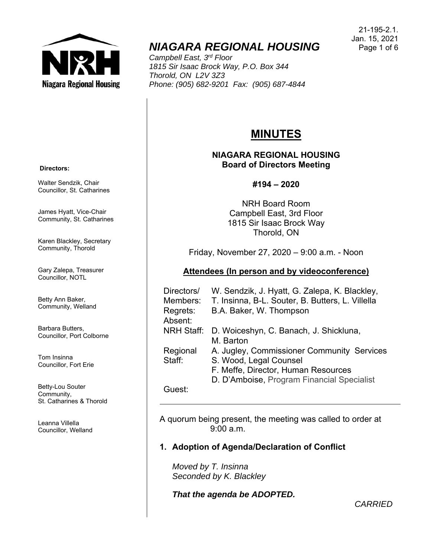

# *NIAGARA REGIONAL HOUSING*

*Campbell East, 3rd Floor 1815 Sir Isaac Brock Way, P.O. Box 344 Thorold, ON L2V 3Z3 Phone: (905) 682-9201 Fax: (905) 687-4844* 

# **MINUTES**

## **NIAGARA REGIONAL HOUSING Board of Directors Meeting**

## **#194 – 2020**

NRH Board Room Campbell East, 3rd Floor 1815 Sir Isaac Brock Way Thorold, ON

Friday, November 27, 2020 – 9:00 a.m. - Noon

# **Attendees (In person and by videoconference)**

| Directors/<br>Members: | W. Sendzik, J. Hyatt, G. Zalepa, K. Blackley,<br>T. Insinna, B-L. Souter, B. Butters, L. Villella |
|------------------------|---------------------------------------------------------------------------------------------------|
| Regrets:<br>Absent:    | B.A. Baker, W. Thompson                                                                           |
| <b>NRH Staff:</b>      | D. Woiceshyn, C. Banach, J. Shickluna,<br>M. Barton                                               |
| Regional               | A. Jugley, Commissioner Community Services                                                        |
| Staff:                 | S. Wood, Legal Counsel                                                                            |
|                        | F. Meffe, Director, Human Resources                                                               |
|                        | D. D'Amboise, Program Financial Specialist                                                        |
| Guest <sup>.</sup>     |                                                                                                   |

Guest:

A quorum being present, the meeting was called to order at 9:00 a.m.

# **1. Adoption of Agenda/Declaration of Conflict**

*Moved by T. Insinna Seconded by K. Blackley* 

*That the agenda be ADOPTED.* 

 **Directors:** 

Walter Sendzik, Chair Councillor, St. Catharines

James Hyatt, Vice-Chair Community, St. Catharines

Karen Blackley, Secretary Community, Thorold

Gary Zalepa, Treasurer Councillor, NOTL

Betty Ann Baker, Community, Welland

Barbara Butters, Councillor, Port Colborne

Tom Insinna Councillor, Fort Erie

Betty-Lou Souter Community, St. Catharines & Thorold

Leanna Villella Councillor, Welland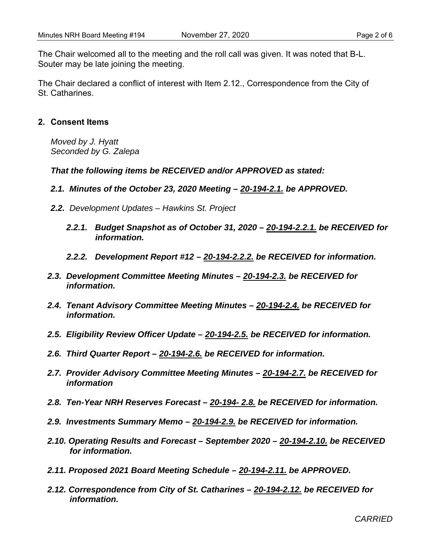The Chair welcomed all to the meeting and the roll call was given. It was noted that B-L. Souter may be late joining the meeting.

The Chair declared a conflict of interest with Item 2.12., Correspondence from the City of St. Catharines.

## **2. Consent Items**

*Moved by J. Hyatt Seconded by G. Zalepa* 

*That the following items be RECEIVED and/or APPROVED as stated:* 

- *2.1. Minutes of the October 23, 2020 Meeting 20-194-2.1. be APPROVED.*
- *2.2. Development Updates Hawkins St. Project* 
	- *2.2.1. Budget Snapshot as of October 31, 2020 20-194-2.2.1. be RECEIVED for information.*
	- *2.2.2. Development Report #12 20-194-2.2.2. be RECEIVED for information.*
- *2.3. Development Committee Meeting Minutes 20-194-2.3. be RECEIVED for information.*
- *2.4. Tenant Advisory Committee Meeting Minutes 20-194-2.4. be RECEIVED for information.*
- *2.5. Eligibility Review Officer Update 20-194-2.5. be RECEIVED for information.*
- *2.6. Third Quarter Report 20-194-2.6. be RECEIVED for information.*
- *2.7. Provider Advisory Committee Meeting Minutes 20-194-2.7. be RECEIVED for information*
- *2.8. Ten-Year NRH Reserves Forecast 20-194- 2.8. be RECEIVED for information.*
- *2.9. Investments Summary Memo 20-194-2.9. be RECEIVED for information.*
- *2.10. Operating Results and Forecast September 2020 20-194-2.10. be RECEIVED for information.*
- *2.11. Proposed 2021 Board Meeting Schedule 20-194-2.11. be APPROVED.*
- *2.12. Correspondence from City of St. Catharines 20-194-2.12. be RECEIVED for information.*

*CARRIED*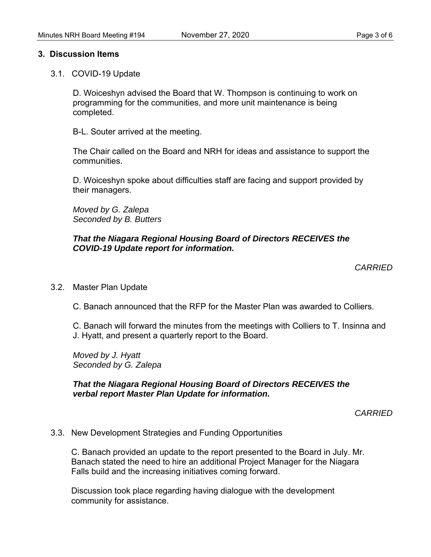#### **3. Discussion Items**

3.1. COVID-19 Update

D. Woiceshyn advised the Board that W. Thompson is continuing to work on programming for the communities, and more unit maintenance is being completed.

B-L. Souter arrived at the meeting.

The Chair called on the Board and NRH for ideas and assistance to support the communities.

D. Woiceshyn spoke about difficulties staff are facing and support provided by their managers.

*Moved by G. Zalepa Seconded by B. Butters* 

## *That the Niagara Regional Housing Board of Directors RECEIVES the COVID-19 Update report for information.*

#### *CARRIED*

3.2. Master Plan Update

C. Banach announced that the RFP for the Master Plan was awarded to Colliers.

 C. Banach will forward the minutes from the meetings with Colliers to T. Insinna and J. Hyatt, and present a quarterly report to the Board.

*Moved by J. Hyatt Seconded by G. Zalepa* 

#### *That the Niagara Regional Housing Board of Directors RECEIVES the verbal report Master Plan Update for information.*

*CARRIED* 

3.3. New Development Strategies and Funding Opportunities

 C. Banach provided an update to the report presented to the Board in July. Mr. Banach stated the need to hire an additional Project Manager for the Niagara Falls build and the increasing initiatives coming forward.

 Discussion took place regarding having dialogue with the development community for assistance.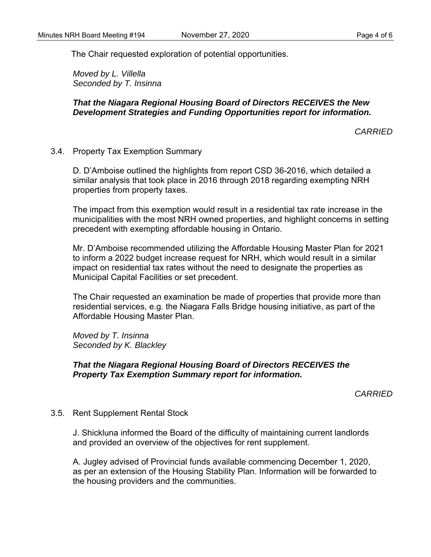The Chair requested exploration of potential opportunities.

*Moved by L. Villella Seconded by T. Insinna* 

# *That the Niagara Regional Housing Board of Directors RECEIVES the New Development Strategies and Funding Opportunities report for information.*

*CARRIED* 

3.4. Property Tax Exemption Summary

 D. D'Amboise outlined the highlights from report CSD 36-2016, which detailed a similar analysis that took place in 2016 through 2018 regarding exempting NRH properties from property taxes.

The impact from this exemption would result in a residential tax rate increase in the municipalities with the most NRH owned properties, and highlight concerns in setting precedent with exempting affordable housing in Ontario.

Mr. D'Amboise recommended utilizing the Affordable Housing Master Plan for 2021 to inform a 2022 budget increase request for NRH, which would result in a similar impact on residential tax rates without the need to designate the properties as Municipal Capital Facilities or set precedent.

The Chair requested an examination be made of properties that provide more than residential services, e.g. the Niagara Falls Bridge housing initiative, as part of the Affordable Housing Master Plan.

*Moved by T. Insinna Seconded by K. Blackley* 

## *That the Niagara Regional Housing Board of Directors RECEIVES the Property Tax Exemption Summary report for information.*

*CARRIED* 

## 3.5. Rent Supplement Rental Stock

J. Shickluna informed the Board of the difficulty of maintaining current landlords and provided an overview of the objectives for rent supplement.

A. Jugley advised of Provincial funds available commencing December 1, 2020, as per an extension of the Housing Stability Plan. Information will be forwarded to the housing providers and the communities.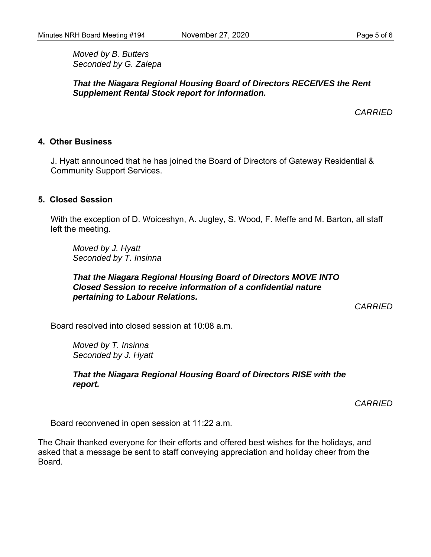*Moved by B. Butters Seconded by G. Zalepa* 

*That the Niagara Regional Housing Board of Directors RECEIVES the Rent Supplement Rental Stock report for information.* 

*CARRIED* 

## **4. Other Business**

J. Hyatt announced that he has joined the Board of Directors of Gateway Residential & Community Support Services.

### **5. Closed Session**

With the exception of D. Woiceshyn, A. Jugley, S. Wood, F. Meffe and M. Barton, all staff left the meeting.

*Moved by J. Hyatt Seconded by T. Insinna* 

#### *That the Niagara Regional Housing Board of Directors MOVE INTO Closed Session to receive information of a confidential nature pertaining to Labour Relations.*

*CARRIED* 

Board resolved into closed session at 10:08 a.m.

*Moved by T. Insinna Seconded by J. Hyatt* 

*That the Niagara Regional Housing Board of Directors RISE with the report.* 

*CARRIED* 

Board reconvened in open session at 11:22 a.m.

The Chair thanked everyone for their efforts and offered best wishes for the holidays, and asked that a message be sent to staff conveying appreciation and holiday cheer from the Board.